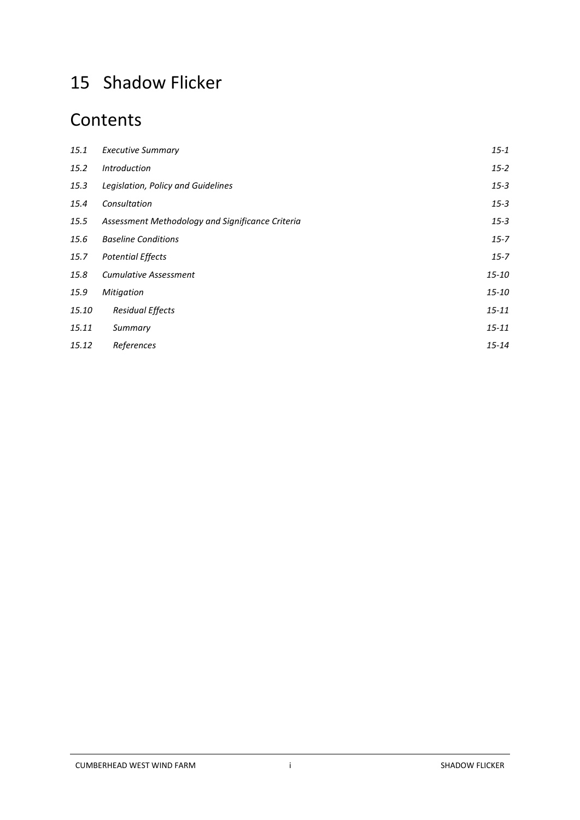# 15 Shadow Flicker

# **Contents**

| 15.1  | <b>Executive Summary</b>                         | $15 - 1$  |
|-------|--------------------------------------------------|-----------|
| 15.2  | <b>Introduction</b>                              | $15 - 2$  |
| 15.3  | Legislation, Policy and Guidelines               | $15 - 3$  |
| 15.4  | Consultation                                     | $15 - 3$  |
| 15.5  | Assessment Methodology and Significance Criteria | $15 - 3$  |
| 15.6  | <b>Baseline Conditions</b>                       | $15 - 7$  |
| 15.7  | <b>Potential Effects</b>                         | $15 - 7$  |
| 15.8  | <b>Cumulative Assessment</b>                     | 15-10     |
| 15.9  | Mitigation                                       | 15-10     |
| 15.10 | <b>Residual Effects</b>                          | $15 - 11$ |
| 15.11 | Summary                                          | $15 - 11$ |
| 15.12 | References                                       | 15-14     |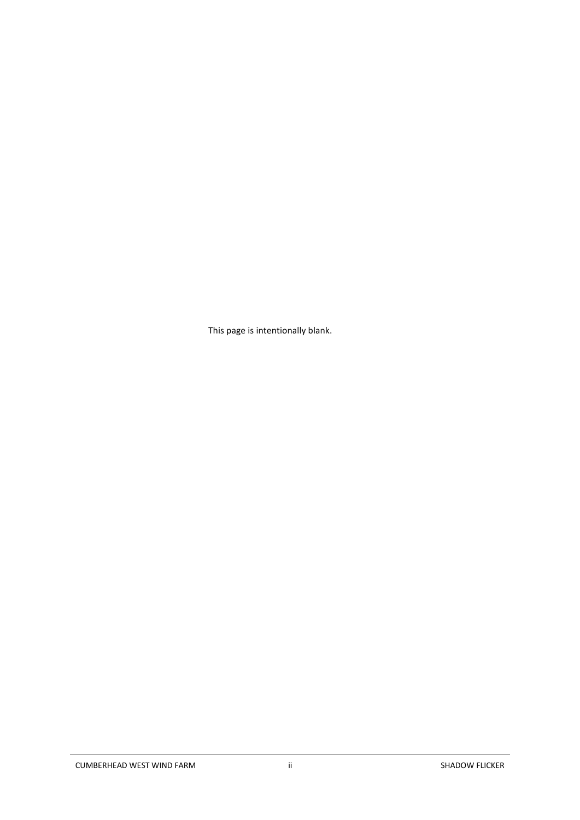This page is intentionally blank.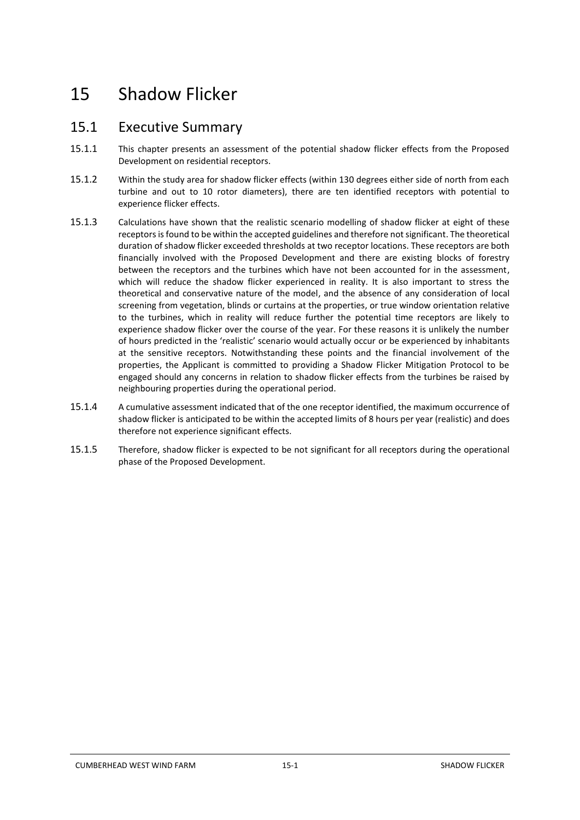# 15 Shadow Flicker

## <span id="page-2-0"></span>15.1 Executive Summary

- 15.1.1 This chapter presents an assessment of the potential shadow flicker effects from the Proposed Development on residential receptors.
- 15.1.2 Within the study area for shadow flicker effects (within 130 degrees either side of north from each turbine and out to 10 rotor diameters), there are ten identified receptors with potential to experience flicker effects.
- 15.1.3 Calculations have shown that the realistic scenario modelling of shadow flicker at eight of these receptors is found to be within the accepted guidelines and therefore not significant. The theoretical duration of shadow flicker exceeded thresholds at two receptor locations. These receptors are both financially involved with the Proposed Development and there are existing blocks of forestry between the receptors and the turbines which have not been accounted for in the assessment, which will reduce the shadow flicker experienced in reality. It is also important to stress the theoretical and conservative nature of the model, and the absence of any consideration of local screening from vegetation, blinds or curtains at the properties, or true window orientation relative to the turbines, which in reality will reduce further the potential time receptors are likely to experience shadow flicker over the course of the year. For these reasons it is unlikely the number of hours predicted in the 'realistic' scenario would actually occur or be experienced by inhabitants at the sensitive receptors. Notwithstanding these points and the financial involvement of the properties, the Applicant is committed to providing a Shadow Flicker Mitigation Protocol to be engaged should any concerns in relation to shadow flicker effects from the turbines be raised by neighbouring properties during the operational period.
- 15.1.4 A cumulative assessment indicated that of the one receptor identified, the maximum occurrence of shadow flicker is anticipated to be within the accepted limits of 8 hours per year (realistic) and does therefore not experience significant effects.
- 15.1.5 Therefore, shadow flicker is expected to be not significant for all receptors during the operational phase of the Proposed Development.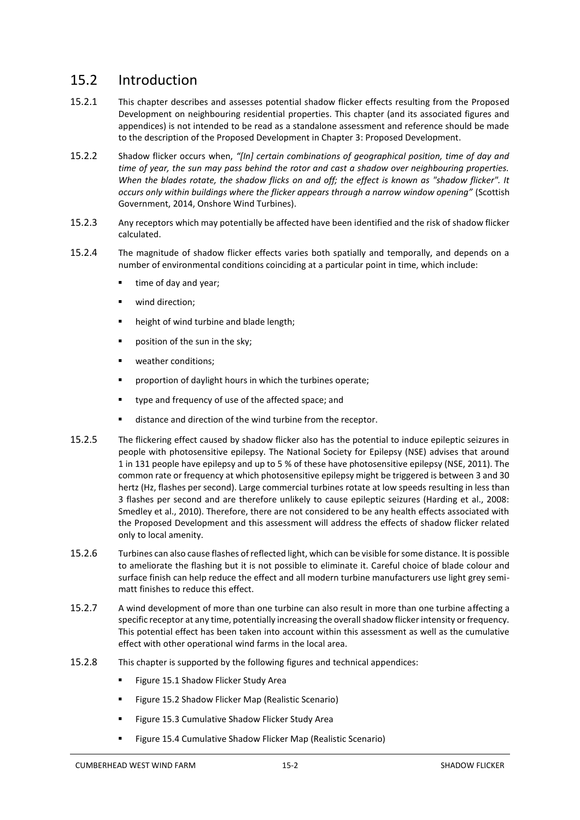### <span id="page-3-0"></span>15.2 Introduction

- 15.2.1 This chapter describes and assesses potential shadow flicker effects resulting from the Proposed Development on neighbouring residential properties. This chapter (and its associated figures and appendices) is not intended to be read as a standalone assessment and reference should be made to the description of the Proposed Development in Chapter 3: Proposed Development.
- 15.2.2 Shadow flicker occurs when, *"[In] certain combinations of geographical position, time of day and time of year, the sun may pass behind the rotor and cast a shadow over neighbouring properties. When the blades rotate, the shadow flicks on and off; the effect is known as "shadow flicker". It occurs only within buildings where the flicker appears through a narrow window opening"* (Scottish Government, 2014, Onshore Wind Turbines).
- 15.2.3 Any receptors which may potentially be affected have been identified and the risk of shadow flicker calculated.
- 15.2.4 The magnitude of shadow flicker effects varies both spatially and temporally, and depends on a number of environmental conditions coinciding at a particular point in time, which include:
	- time of day and year;
	- wind direction;
	- height of wind turbine and blade length;
	- position of the sun in the sky;
	- weather conditions:
	- proportion of daylight hours in which the turbines operate;
	- type and frequency of use of the affected space; and
	- distance and direction of the wind turbine from the receptor.
- 15.2.5 The flickering effect caused by shadow flicker also has the potential to induce epileptic seizures in people with photosensitive epilepsy. The National Society for Epilepsy (NSE) advises that around 1 in 131 people have epilepsy and up to 5 % of these have photosensitive epilepsy (NSE, 2011). The common rate or frequency at which photosensitive epilepsy might be triggered is between 3 and 30 hertz (Hz, flashes per second). Large commercial turbines rotate at low speeds resulting in less than 3 flashes per second and are therefore unlikely to cause epileptic seizures (Harding et al., 2008: Smedley et al., 2010). Therefore, there are not considered to be any health effects associated with the Proposed Development and this assessment will address the effects of shadow flicker related only to local amenity.
- 15.2.6 Turbines can also cause flashes of reflected light, which can be visible for some distance. It is possible to ameliorate the flashing but it is not possible to eliminate it. Careful choice of blade colour and surface finish can help reduce the effect and all modern turbine manufacturers use light grey semimatt finishes to reduce this effect.
- 15.2.7 A wind development of more than one turbine can also result in more than one turbine affecting a specific receptor at any time, potentially increasing the overall shadow flicker intensity or frequency. This potential effect has been taken into account within this assessment as well as the cumulative effect with other operational wind farms in the local area.
- 15.2.8 This chapter is supported by the following figures and technical appendices:
	- Figure 15.1 Shadow Flicker Study Area
	- Figure 15.2 Shadow Flicker Map (Realistic Scenario)
	- Figure 15.3 Cumulative Shadow Flicker Study Area
	- Figure 15.4 Cumulative Shadow Flicker Map (Realistic Scenario)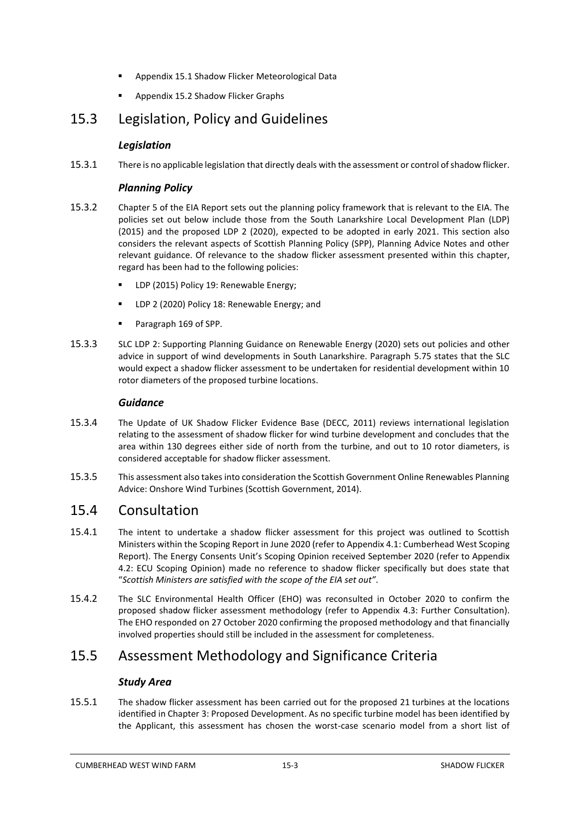- Appendix 15.1 Shadow Flicker Meteorological Data
- Appendix 15.2 Shadow Flicker Graphs

# <span id="page-4-0"></span>15.3 Legislation, Policy and Guidelines

### *Legislation*

15.3.1 There is no applicable legislation that directly deals with the assessment or control of shadow flicker.

### *Planning Policy*

- 15.3.2 Chapter 5 of the EIA Report sets out the planning policy framework that is relevant to the EIA. The policies set out below include those from the South Lanarkshire Local Development Plan (LDP) (2015) and the proposed LDP 2 (2020), expected to be adopted in early 2021. This section also considers the relevant aspects of Scottish Planning Policy (SPP), Planning Advice Notes and other relevant guidance. Of relevance to the shadow flicker assessment presented within this chapter, regard has been had to the following policies:
	- LDP (2015) Policy 19: Renewable Energy;
	- LDP 2 (2020) Policy 18: Renewable Energy; and
	- Paragraph 169 of SPP.
- 15.3.3 SLC LDP 2: Supporting Planning Guidance on Renewable Energy (2020) sets out policies and other advice in support of wind developments in South Lanarkshire. Paragraph 5.75 states that the SLC would expect a shadow flicker assessment to be undertaken for residential development within 10 rotor diameters of the proposed turbine locations.

### *Guidance*

- 15.3.4 The Update of UK Shadow Flicker Evidence Base (DECC, 2011) reviews international legislation relating to the assessment of shadow flicker for wind turbine development and concludes that the area within 130 degrees either side of north from the turbine, and out to 10 rotor diameters, is considered acceptable for shadow flicker assessment.
- 15.3.5 This assessment also takes into consideration the Scottish Government Online Renewables Planning Advice: Onshore Wind Turbines (Scottish Government, 2014).

### <span id="page-4-1"></span>15.4 Consultation

- 15.4.1 The intent to undertake a shadow flicker assessment for this project was outlined to Scottish Ministers within the Scoping Report in June 2020 (refer to Appendix 4.1: Cumberhead West Scoping Report). The Energy Consents Unit's Scoping Opinion received September 2020 (refer to Appendix 4.2: ECU Scoping Opinion) made no reference to shadow flicker specifically but does state that "*Scottish Ministers are satisfied with the scope of the EIA set out".*
- 15.4.2 The SLC Environmental Health Officer (EHO) was reconsulted in October 2020 to confirm the proposed shadow flicker assessment methodology (refer to Appendix 4.3: Further Consultation). The EHO responded on 27 October 2020 confirming the proposed methodology and that financially involved properties should still be included in the assessment for completeness.

## <span id="page-4-2"></span>15.5 Assessment Methodology and Significance Criteria

### *Study Area*

15.5.1 The shadow flicker assessment has been carried out for the proposed 21 turbines at the locations identified in Chapter 3: Proposed Development. As no specific turbine model has been identified by the Applicant, this assessment has chosen the worst-case scenario model from a short list of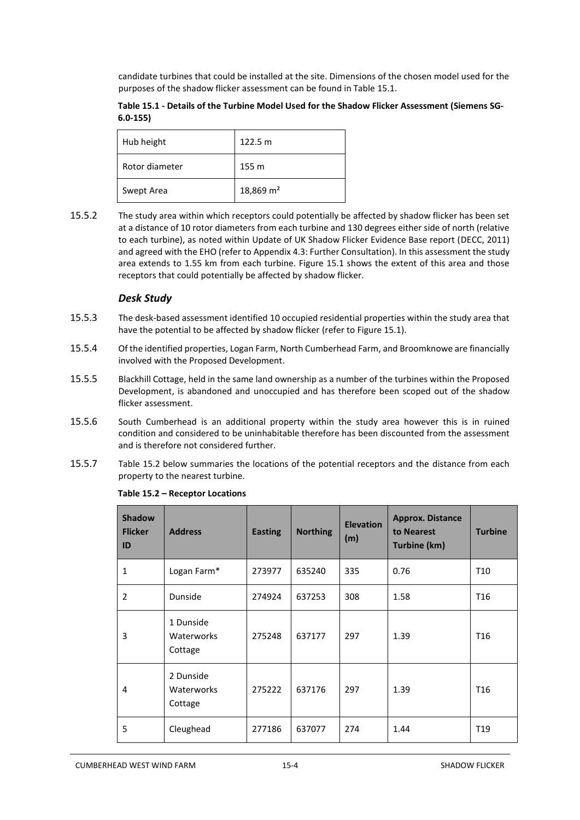candidate turbines that could be installed at the site. Dimensions of the chosen model used for the purposes of the shadow flicker assessment can be found in Table 15.1.

**Table 15.1 - Details of the Turbine Model Used for the Shadow Flicker Assessment (Siemens SG-6.0-155)**

| Hub height     | 122.5 m               |
|----------------|-----------------------|
| Rotor diameter | 155 <sub>m</sub>      |
| Swept Area     | 18,869 m <sup>2</sup> |

15.5.2 The study area within which receptors could potentially be affected by shadow flicker has been set at a distance of 10 rotor diameters from each turbine and 130 degrees either side of north (relative to each turbine), as noted within Update of UK Shadow Flicker Evidence Base report (DECC, 2011) and agreed with the EHO (refer to Appendix 4.3: Further Consultation). In this assessment the study area extends to 1.55 km from each turbine. Figure 15.1 shows the extent of this area and those receptors that could potentially be affected by shadow flicker.

### *Desk Study*

- 15.5.3 The desk-based assessment identified 10 occupied residential properties within the study area that have the potential to be affected by shadow flicker (refer to Figure 15.1).
- 15.5.4 Of the identified properties, Logan Farm, North Cumberhead Farm, and Broomknowe are financially involved with the Proposed Development.
- 15.5.5 Blackhill Cottage, held in the same land ownership as a number of the turbines within the Proposed Development, is abandoned and unoccupied and has therefore been scoped out of the shadow flicker assessment.
- 15.5.6 South Cumberhead is an additional property within the study area however this is in ruined condition and considered to be uninhabitable therefore has been discounted from the assessment and is therefore not considered further.
- 15.5.7 Table 15.2 below summaries the locations of the potential receptors and the distance from each property to the nearest turbine.

| <b>Shadow</b><br><b>Flicker</b><br>ID | <b>Address</b>                     | <b>Easting</b> | <b>Northing</b> | <b>Elevation</b><br>(m) | <b>Approx. Distance</b><br>to Nearest<br><b>Turbine (km)</b> | <b>Turbine</b>  |
|---------------------------------------|------------------------------------|----------------|-----------------|-------------------------|--------------------------------------------------------------|-----------------|
| $\mathbf{1}$                          | Logan Farm*                        | 273977         | 635240          | 335                     | 0.76                                                         | T <sub>10</sub> |
| 2                                     | Dunside                            | 274924         | 637253          | 308                     | 1.58                                                         | T <sub>16</sub> |
| 3                                     | 1 Dunside<br>Waterworks<br>Cottage | 275248         | 637177          | 297                     | 1.39                                                         | T <sub>16</sub> |
| 4                                     | 2 Dunside<br>Waterworks<br>Cottage | 275222         | 637176          | 297                     | 1.39                                                         | T <sub>16</sub> |
| 5                                     | Cleughead                          | 277186         | 637077          | 274                     | 1.44                                                         | T <sub>19</sub> |

**Table 15.2 – Receptor Locations**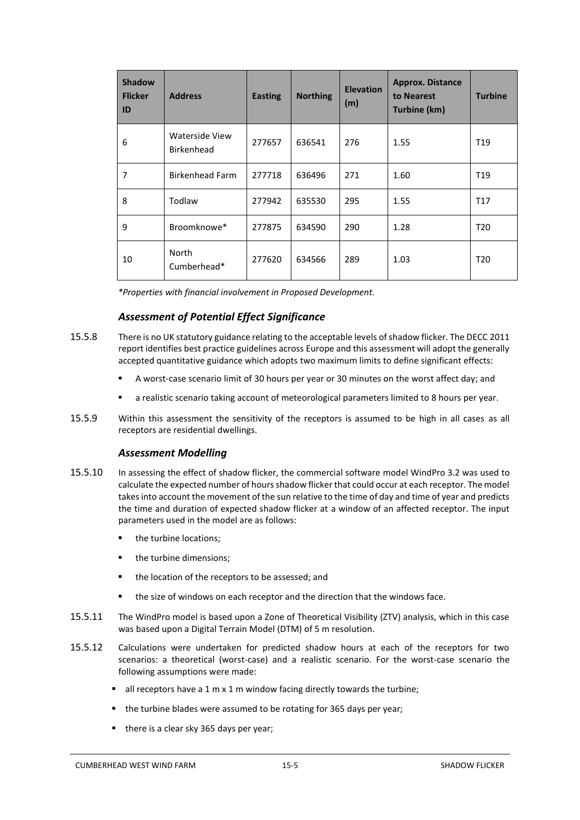| <b>Shadow</b><br><b>Flicker</b><br>ID | <b>Address</b>                             | <b>Easting</b> | <b>Northing</b> | <b>Elevation</b><br>(m) | <b>Approx. Distance</b><br>to Nearest<br>Turbine (km) | <b>Turbine</b>  |
|---------------------------------------|--------------------------------------------|----------------|-----------------|-------------------------|-------------------------------------------------------|-----------------|
| 6                                     | <b>Waterside View</b><br><b>Birkenhead</b> | 277657         | 636541          | 276                     | 1.55                                                  | T <sub>19</sub> |
| 7                                     | <b>Birkenhead Farm</b>                     | 277718         | 636496          | 271                     | 1.60                                                  | T <sub>19</sub> |
| 8                                     | Todlaw                                     | 277942         | 635530          | 295                     | 1.55                                                  | T <sub>17</sub> |
| 9                                     | Broomknowe*                                | 277875         | 634590          | 290                     | 1.28                                                  | T <sub>20</sub> |
| 10                                    | <b>North</b><br>Cumberhead*                | 277620         | 634566          | 289                     | 1.03                                                  | T <sub>20</sub> |

*\*Properties with financial involvement in Proposed Development.* 

### *Assessment of Potential Effect Significance*

- 15.5.8 There is no UK statutory guidance relating to the acceptable levels of shadow flicker. The DECC 2011 report identifies best practice guidelines across Europe and this assessment will adopt the generally accepted quantitative guidance which adopts two maximum limits to define significant effects:
	- A worst-case scenario limit of 30 hours per year or 30 minutes on the worst affect day; and
	- a realistic scenario taking account of meteorological parameters limited to 8 hours per year.
- 15.5.9 Within this assessment the sensitivity of the receptors is assumed to be high in all cases as all receptors are residential dwellings.

#### *Assessment Modelling*

- 15.5.10 In assessing the effect of shadow flicker, the commercial software model WindPro 3.2 was used to calculate the expected number of hours shadow flicker that could occur at each receptor. The model takes into account the movement of the sun relative to the time of day and time of year and predicts the time and duration of expected shadow flicker at a window of an affected receptor. The input parameters used in the model are as follows:
	- the turbine locations;
	- the turbine dimensions;
	- the location of the receptors to be assessed; and
	- the size of windows on each receptor and the direction that the windows face.
- 15.5.11 The WindPro model is based upon a Zone of Theoretical Visibility (ZTV) analysis, which in this case was based upon a Digital Terrain Model (DTM) of 5 m resolution.
- 15.5.12 Calculations were undertaken for predicted shadow hours at each of the receptors for two scenarios: a theoretical (worst-case) and a realistic scenario. For the worst-case scenario the following assumptions were made:
	- **E** all receptors have a 1 m x 1 m window facing directly towards the turbine:
	- the turbine blades were assumed to be rotating for 365 days per year;
	- there is a clear sky 365 days per year;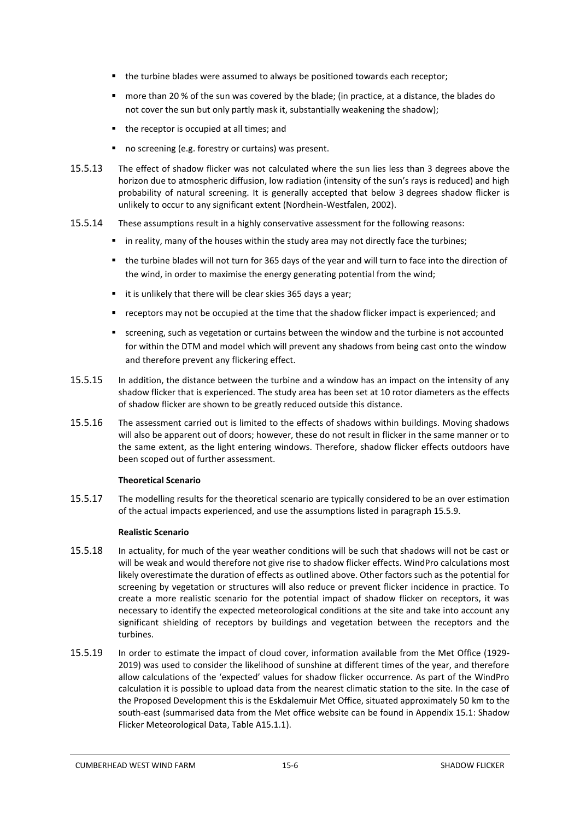- the turbine blades were assumed to always be positioned towards each receptor;
- more than 20 % of the sun was covered by the blade; (in practice, at a distance, the blades do not cover the sun but only partly mask it, substantially weakening the shadow);
- the receptor is occupied at all times; and
- no screening (e.g. forestry or curtains) was present.
- 15.5.13 The effect of shadow flicker was not calculated where the sun lies less than 3 degrees above the horizon due to atmospheric diffusion, low radiation (intensity of the sun's rays is reduced) and high probability of natural screening. It is generally accepted that below 3 degrees shadow flicker is unlikely to occur to any significant extent (Nordhein-Westfalen, 2002).
- 15.5.14 These assumptions result in a highly conservative assessment for the following reasons:
	- in reality, many of the houses within the study area may not directly face the turbines;
	- the turbine blades will not turn for 365 days of the year and will turn to face into the direction of the wind, in order to maximise the energy generating potential from the wind;
	- it is unlikely that there will be clear skies 365 days a year;
	- receptors may not be occupied at the time that the shadow flicker impact is experienced; and
	- screening, such as vegetation or curtains between the window and the turbine is not accounted for within the DTM and model which will prevent any shadows from being cast onto the window and therefore prevent any flickering effect.
- 15.5.15 In addition, the distance between the turbine and a window has an impact on the intensity of any shadow flicker that is experienced. The study area has been set at 10 rotor diameters as the effects of shadow flicker are shown to be greatly reduced outside this distance.
- 15.5.16 The assessment carried out is limited to the effects of shadows within buildings. Moving shadows will also be apparent out of doors; however, these do not result in flicker in the same manner or to the same extent, as the light entering windows. Therefore, shadow flicker effects outdoors have been scoped out of further assessment.

#### **Theoretical Scenario**

15.5.17 The modelling results for the theoretical scenario are typically considered to be an over estimation of the actual impacts experienced, and use the assumptions listed in paragraph 15.5.9.

#### **Realistic Scenario**

- 15.5.18 In actuality, for much of the year weather conditions will be such that shadows will not be cast or will be weak and would therefore not give rise to shadow flicker effects. WindPro calculations most likely overestimate the duration of effects as outlined above. Other factors such as the potential for screening by vegetation or structures will also reduce or prevent flicker incidence in practice. To create a more realistic scenario for the potential impact of shadow flicker on receptors, it was necessary to identify the expected meteorological conditions at the site and take into account any significant shielding of receptors by buildings and vegetation between the receptors and the turbines.
- 15.5.19 In order to estimate the impact of cloud cover, information available from the Met Office (1929- 2019) was used to consider the likelihood of sunshine at different times of the year, and therefore allow calculations of the 'expected' values for shadow flicker occurrence. As part of the WindPro calculation it is possible to upload data from the nearest climatic station to the site. In the case of the Proposed Development this is the Eskdalemuir Met Office, situated approximately 50 km to the south-east (summarised data from the Met office website can be found in Appendix 15.1: Shadow Flicker Meteorological Data, Table A15.1.1).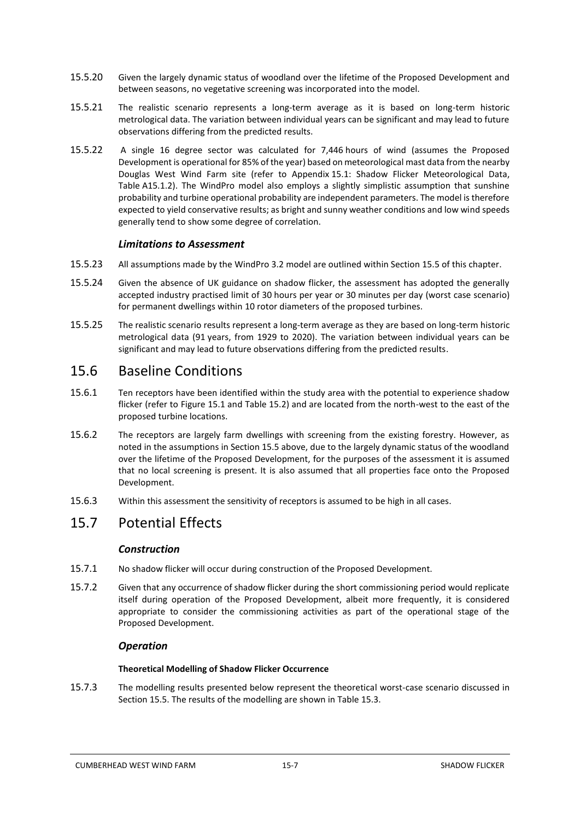- 15.5.20 Given the largely dynamic status of woodland over the lifetime of the Proposed Development and between seasons, no vegetative screening was incorporated into the model.
- 15.5.21 The realistic scenario represents a long-term average as it is based on long-term historic metrological data. The variation between individual years can be significant and may lead to future observations differing from the predicted results.
- 15.5.22 A single 16 degree sector was calculated for 7,446 hours of wind (assumes the Proposed Development is operational for 85% of the year) based on meteorological mast data from the nearby Douglas West Wind Farm site (refer to Appendix 15.1: Shadow Flicker Meteorological Data, Table A15.1.2). The WindPro model also employs a slightly simplistic assumption that sunshine probability and turbine operational probability are independent parameters. The model is therefore expected to yield conservative results; as bright and sunny weather conditions and low wind speeds generally tend to show some degree of correlation.

### *Limitations to Assessment*

- 15.5.23 All assumptions made by the WindPro 3.2 model are outlined within Section 15.5 of this chapter.
- 15.5.24 Given the absence of UK guidance on shadow flicker, the assessment has adopted the generally accepted industry practised limit of 30 hours per year or 30 minutes per day (worst case scenario) for permanent dwellings within 10 rotor diameters of the proposed turbines.
- 15.5.25 The realistic scenario results represent a long-term average as they are based on long-term historic metrological data (91 years, from 1929 to 2020). The variation between individual years can be significant and may lead to future observations differing from the predicted results.

### <span id="page-8-0"></span>15.6 Baseline Conditions

- 15.6.1 Ten receptors have been identified within the study area with the potential to experience shadow flicker (refer to Figure 15.1 and Table 15.2) and are located from the north-west to the east of the proposed turbine locations.
- 15.6.2 The receptors are largely farm dwellings with screening from the existing forestry. However, as noted in the assumptions in Section 15.5 above, due to the largely dynamic status of the woodland over the lifetime of the Proposed Development, for the purposes of the assessment it is assumed that no local screening is present. It is also assumed that all properties face onto the Proposed Development.
- 15.6.3 Within this assessment the sensitivity of receptors is assumed to be high in all cases.

### <span id="page-8-1"></span>15.7 Potential Effects

#### *Construction*

- 15.7.1 No shadow flicker will occur during construction of the Proposed Development.
- 15.7.2 Given that any occurrence of shadow flicker during the short commissioning period would replicate itself during operation of the Proposed Development, albeit more frequently, it is considered appropriate to consider the commissioning activities as part of the operational stage of the Proposed Development.

### *Operation*

#### **Theoretical Modelling of Shadow Flicker Occurrence**

15.7.3 The modelling results presented below represent the theoretical worst-case scenario discussed in Section 15.5. The results of the modelling are shown in Table 15.3.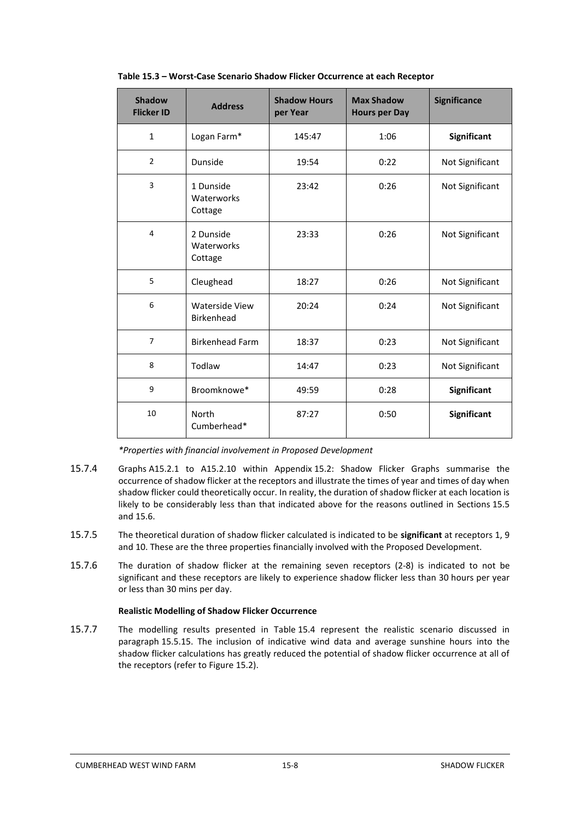| <b>Shadow</b><br><b>Flicker ID</b> | <b>Address</b>                      | <b>Shadow Hours</b><br>per Year | <b>Max Shadow</b><br><b>Hours per Day</b> | <b>Significance</b> |
|------------------------------------|-------------------------------------|---------------------------------|-------------------------------------------|---------------------|
| $\mathbf{1}$                       | Logan Farm*                         | 145:47                          | 1:06                                      | Significant         |
| $\overline{2}$                     | Dunside                             | 19:54                           | 0:22                                      | Not Significant     |
| 3                                  | 1 Dunside<br>Waterworks<br>Cottage  | 23:42                           | 0:26                                      | Not Significant     |
| 4                                  | 2 Dunside<br>Waterworks<br>Cottage  | 23:33                           | 0:26                                      | Not Significant     |
| 5                                  | Cleughead                           | 18:27                           | 0:26                                      | Not Significant     |
| 6                                  | <b>Waterside View</b><br>Birkenhead | 20:24                           | 0:24                                      | Not Significant     |
| $\overline{7}$                     | <b>Birkenhead Farm</b>              | 18:37                           | 0:23                                      | Not Significant     |
| 8                                  | Todlaw                              | 14:47                           | 0:23                                      | Not Significant     |
| 9                                  | Broomknowe*                         | 49:59                           | 0:28                                      | <b>Significant</b>  |
| 10                                 | North<br>Cumberhead*                | 87:27                           | 0:50                                      | Significant         |

#### **Table 15.3 – Worst-Case Scenario Shadow Flicker Occurrence at each Receptor**

*\*Properties with financial involvement in Proposed Development*

- 15.7.4 Graphs A15.2.1 to A15.2.10 within Appendix 15.2: Shadow Flicker Graphs summarise the occurrence of shadow flicker at the receptors and illustrate the times of year and times of day when shadow flicker could theoretically occur. In reality, the duration of shadow flicker at each location is likely to be considerably less than that indicated above for the reasons outlined in Sections 15.5 and 15.6.
- 15.7.5 The theoretical duration of shadow flicker calculated is indicated to be **significant** at receptors 1, 9 and 10. These are the three properties financially involved with the Proposed Development.
- 15.7.6 The duration of shadow flicker at the remaining seven receptors (2-8) is indicated to not be significant and these receptors are likely to experience shadow flicker less than 30 hours per year or less than 30 mins per day.

#### **Realistic Modelling of Shadow Flicker Occurrence**

15.7.7 The modelling results presented in Table 15.4 represent the realistic scenario discussed in paragraph 15.5.15. The inclusion of indicative wind data and average sunshine hours into the shadow flicker calculations has greatly reduced the potential of shadow flicker occurrence at all of the receptors (refer to Figure 15.2).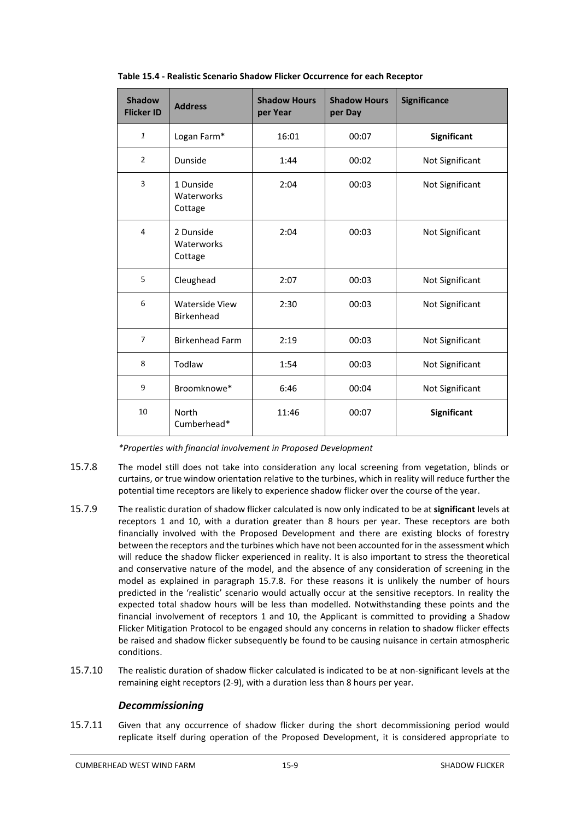| <b>Shadow</b><br><b>Flicker ID</b> | <b>Address</b>                             | <b>Shadow Hours</b><br>per Year | <b>Shadow Hours</b><br>per Day | <b>Significance</b> |
|------------------------------------|--------------------------------------------|---------------------------------|--------------------------------|---------------------|
| $\mathbf{1}$                       | Logan Farm*                                | 16:01                           | 00:07                          | Significant         |
| $\overline{2}$                     | Dunside                                    | 1:44                            | 00:02                          | Not Significant     |
| 3                                  | 1 Dunside<br>Waterworks<br>Cottage         | 2:04                            | 00:03                          | Not Significant     |
| 4                                  | 2 Dunside<br>Waterworks<br>Cottage         | 2:04                            | 00:03                          | Not Significant     |
| 5                                  | Cleughead                                  | 2:07                            | 00:03                          | Not Significant     |
| 6                                  | <b>Waterside View</b><br><b>Birkenhead</b> | 2:30                            | 00:03                          | Not Significant     |
| $\overline{7}$                     | <b>Birkenhead Farm</b>                     | 2:19                            | 00:03                          | Not Significant     |
| 8                                  | Todlaw                                     | 1:54                            | 00:03                          | Not Significant     |
| 9                                  | Broomknowe*                                | 6:46                            | 00:04                          | Not Significant     |
| 10                                 | North<br>Cumberhead*                       | 11:46                           | 00:07                          | <b>Significant</b>  |

|  |  |  |  |  | Table 15.4 - Realistic Scenario Shadow Flicker Occurrence for each Receptor |  |  |
|--|--|--|--|--|-----------------------------------------------------------------------------|--|--|
|--|--|--|--|--|-----------------------------------------------------------------------------|--|--|

*\*Properties with financial involvement in Proposed Development*

- 15.7.8 The model still does not take into consideration any local screening from vegetation, blinds or curtains, or true window orientation relative to the turbines, which in reality will reduce further the potential time receptors are likely to experience shadow flicker over the course of the year.
- 15.7.9 The realistic duration of shadow flicker calculated is now only indicated to be at **significant** levels at receptors 1 and 10, with a duration greater than 8 hours per year. These receptors are both financially involved with the Proposed Development and there are existing blocks of forestry between the receptors and the turbines which have not been accounted for in the assessment which will reduce the shadow flicker experienced in reality. It is also important to stress the theoretical and conservative nature of the model, and the absence of any consideration of screening in the model as explained in paragraph 15.7.8. For these reasons it is unlikely the number of hours predicted in the 'realistic' scenario would actually occur at the sensitive receptors. In reality the expected total shadow hours will be less than modelled. Notwithstanding these points and the financial involvement of receptors 1 and 10, the Applicant is committed to providing a Shadow Flicker Mitigation Protocol to be engaged should any concerns in relation to shadow flicker effects be raised and shadow flicker subsequently be found to be causing nuisance in certain atmospheric conditions.
- 15.7.10 The realistic duration of shadow flicker calculated is indicated to be at non-significant levels at the remaining eight receptors (2-9), with a duration less than 8 hours per year.

### *Decommissioning*

15.7.11 Given that any occurrence of shadow flicker during the short decommissioning period would replicate itself during operation of the Proposed Development, it is considered appropriate to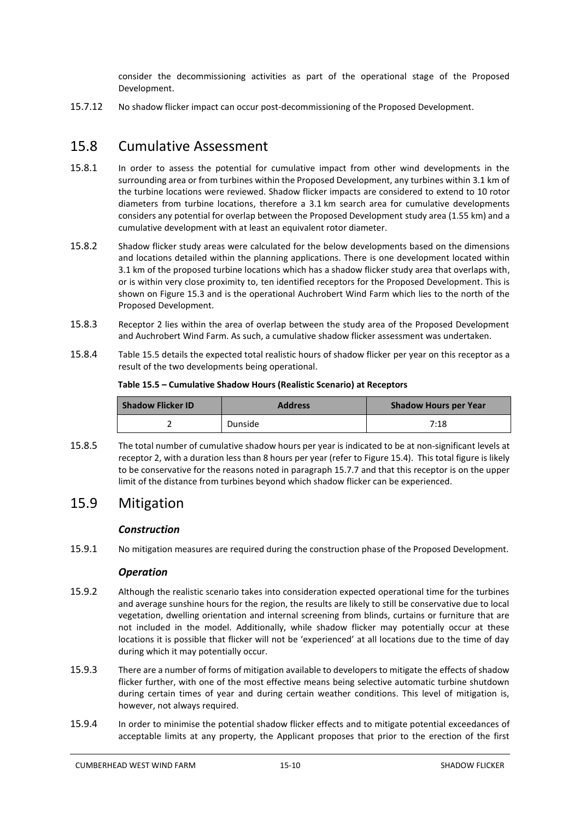consider the decommissioning activities as part of the operational stage of the Proposed Development.

15.7.12 No shadow flicker impact can occur post-decommissioning of the Proposed Development.

## <span id="page-11-0"></span>15.8 Cumulative Assessment

- 15.8.1 In order to assess the potential for cumulative impact from other wind developments in the surrounding area or from turbines within the Proposed Development, any turbines within 3.1 km of the turbine locations were reviewed. Shadow flicker impacts are considered to extend to 10 rotor diameters from turbine locations, therefore a 3.1 km search area for cumulative developments considers any potential for overlap between the Proposed Development study area (1.55 km) and a cumulative development with at least an equivalent rotor diameter.
- 15.8.2 Shadow flicker study areas were calculated for the below developments based on the dimensions and locations detailed within the planning applications. There is one development located within 3.1 km of the proposed turbine locations which has a shadow flicker study area that overlaps with, or is within very close proximity to, ten identified receptors for the Proposed Development. This is shown on Figure 15.3 and is the operational Auchrobert Wind Farm which lies to the north of the Proposed Development.
- 15.8.3 Receptor 2 lies within the area of overlap between the study area of the Proposed Development and Auchrobert Wind Farm. As such, a cumulative shadow flicker assessment was undertaken.
- 15.8.4 Table 15.5 details the expected total realistic hours of shadow flicker per year on this receptor as a result of the two developments being operational.

| Shadow Flicker ID | <b>Address</b> | Shadow Hours per Year |  |  |
|-------------------|----------------|-----------------------|--|--|
|                   | Dunside        | 7:18                  |  |  |

- **Table 15.5 – Cumulative Shadow Hours (Realistic Scenario) at Receptors**
- 15.8.5 The total number of cumulative shadow hours per year is indicated to be at non-significant levels at receptor 2, with a duration less than 8 hours per year (refer to Figure 15.4). This total figure is likely to be conservative for the reasons noted in paragraph 15.7.7 and that this receptor is on the upper limit of the distance from turbines beyond which shadow flicker can be experienced.

### <span id="page-11-1"></span>15.9 Mitigation

### *Construction*

15.9.1 No mitigation measures are required during the construction phase of the Proposed Development.

### *Operation*

- 15.9.2 Although the realistic scenario takes into consideration expected operational time for the turbines and average sunshine hours for the region, the results are likely to still be conservative due to local vegetation, dwelling orientation and internal screening from blinds, curtains or furniture that are not included in the model. Additionally, while shadow flicker may potentially occur at these locations it is possible that flicker will not be 'experienced' at all locations due to the time of day during which it may potentially occur.
- 15.9.3 There are a number of forms of mitigation available to developers to mitigate the effects of shadow flicker further, with one of the most effective means being selective automatic turbine shutdown during certain times of year and during certain weather conditions. This level of mitigation is, however, not always required.
- 15.9.4 In order to minimise the potential shadow flicker effects and to mitigate potential exceedances of acceptable limits at any property, the Applicant proposes that prior to the erection of the first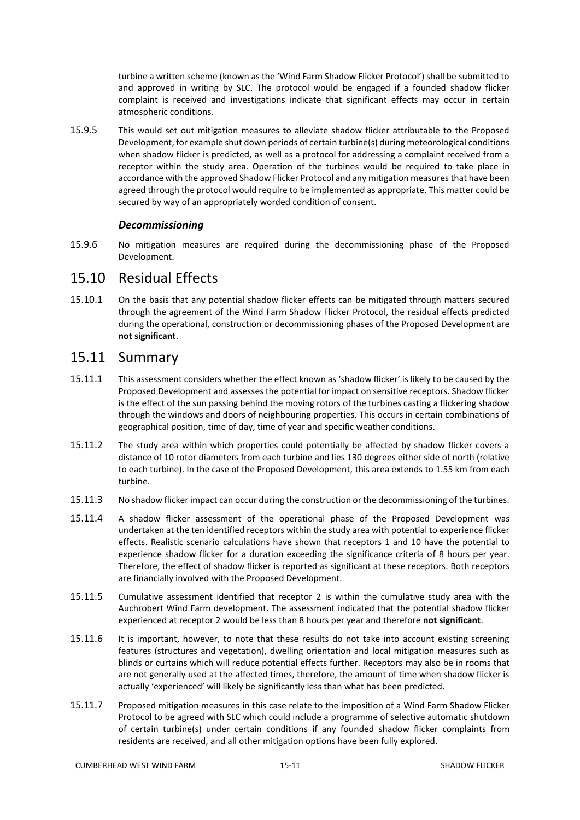turbine a written scheme (known as the 'Wind Farm Shadow Flicker Protocol') shall be submitted to and approved in writing by SLC. The protocol would be engaged if a founded shadow flicker complaint is received and investigations indicate that significant effects may occur in certain atmospheric conditions.

15.9.5 This would set out mitigation measures to alleviate shadow flicker attributable to the Proposed Development, for example shut down periods of certain turbine(s) during meteorological conditions when shadow flicker is predicted, as well as a protocol for addressing a complaint received from a receptor within the study area. Operation of the turbines would be required to take place in accordance with the approved Shadow Flicker Protocol and any mitigation measures that have been agreed through the protocol would require to be implemented as appropriate. This matter could be secured by way of an appropriately worded condition of consent.

### *Decommissioning*

15.9.6 No mitigation measures are required during the decommissioning phase of the Proposed Development.

### <span id="page-12-0"></span>15.10 Residual Effects

15.10.1 On the basis that any potential shadow flicker effects can be mitigated through matters secured through the agreement of the Wind Farm Shadow Flicker Protocol, the residual effects predicted during the operational, construction or decommissioning phases of the Proposed Development are **not significant**.

### <span id="page-12-1"></span>15.11 Summary

- 15.11.1 This assessment considers whether the effect known as 'shadow flicker' is likely to be caused by the Proposed Development and assesses the potential for impact on sensitive receptors. Shadow flicker is the effect of the sun passing behind the moving rotors of the turbines casting a flickering shadow through the windows and doors of neighbouring properties. This occurs in certain combinations of geographical position, time of day, time of year and specific weather conditions.
- 15.11.2 The study area within which properties could potentially be affected by shadow flicker covers a distance of 10 rotor diameters from each turbine and lies 130 degrees either side of north (relative to each turbine). In the case of the Proposed Development, this area extends to 1.55 km from each turbine.
- 15.11.3 No shadow flicker impact can occur during the construction or the decommissioning of the turbines.
- 15.11.4 A shadow flicker assessment of the operational phase of the Proposed Development was undertaken at the ten identified receptors within the study area with potential to experience flicker effects. Realistic scenario calculations have shown that receptors 1 and 10 have the potential to experience shadow flicker for a duration exceeding the significance criteria of 8 hours per year. Therefore, the effect of shadow flicker is reported as significant at these receptors. Both receptors are financially involved with the Proposed Development.
- 15.11.5 Cumulative assessment identified that receptor 2 is within the cumulative study area with the Auchrobert Wind Farm development. The assessment indicated that the potential shadow flicker experienced at receptor 2 would be less than 8 hours per year and therefore **not significant**.
- 15.11.6 It is important, however, to note that these results do not take into account existing screening features (structures and vegetation), dwelling orientation and local mitigation measures such as blinds or curtains which will reduce potential effects further. Receptors may also be in rooms that are not generally used at the affected times, therefore, the amount of time when shadow flicker is actually 'experienced' will likely be significantly less than what has been predicted.
- 15.11.7 Proposed mitigation measures in this case relate to the imposition of a Wind Farm Shadow Flicker Protocol to be agreed with SLC which could include a programme of selective automatic shutdown of certain turbine(s) under certain conditions if any founded shadow flicker complaints from residents are received, and all other mitigation options have been fully explored.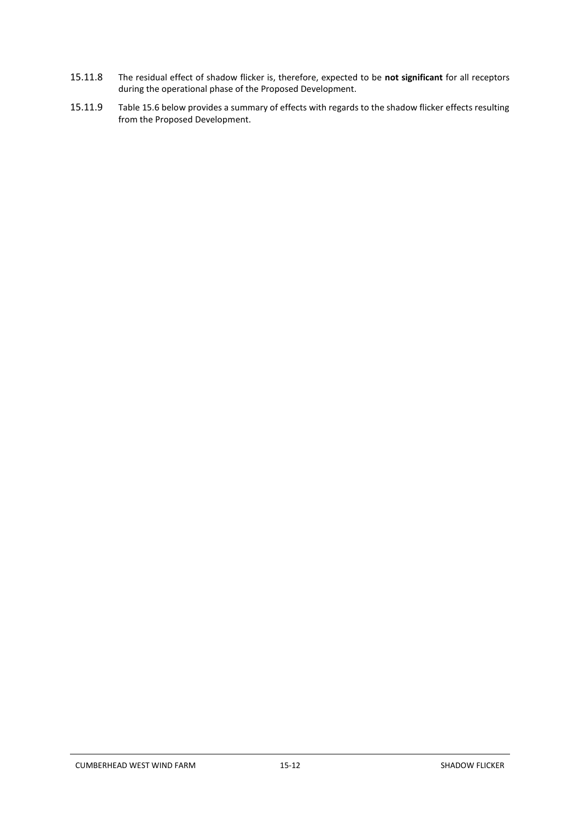- 15.11.8 The residual effect of shadow flicker is, therefore, expected to be **not significant** for all receptors during the operational phase of the Proposed Development.
- 15.11.9 Table 15.6 below provides a summary of effects with regards to the shadow flicker effects resulting from the Proposed Development.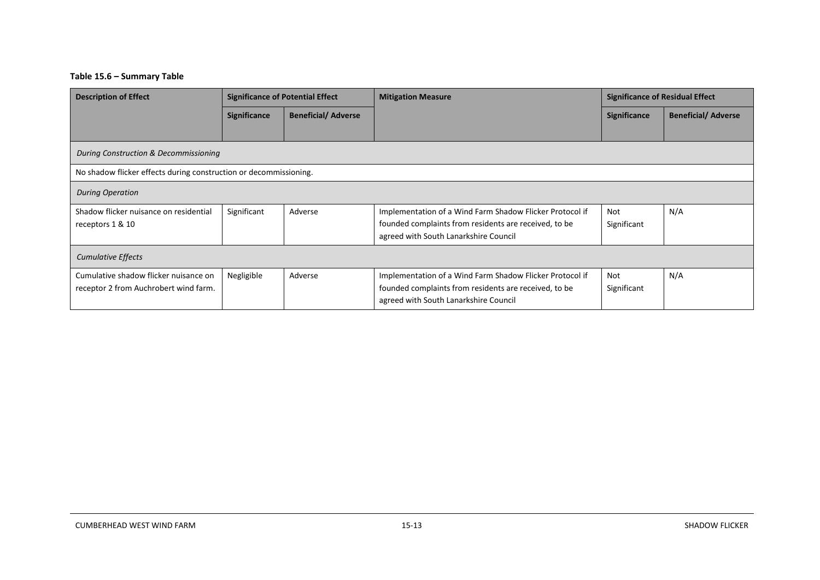#### **Table 15.6 – Summary Table**

| <b>Description of Effect</b>                                                                            | <b>Significance of Potential Effect</b> |                                                                                                                                                            | <b>Mitigation Measure</b>                                                                                                                                  | <b>Significance of Residual Effect</b> |                            |  |
|---------------------------------------------------------------------------------------------------------|-----------------------------------------|------------------------------------------------------------------------------------------------------------------------------------------------------------|------------------------------------------------------------------------------------------------------------------------------------------------------------|----------------------------------------|----------------------------|--|
|                                                                                                         | <b>Significance</b>                     | <b>Beneficial/ Adverse</b>                                                                                                                                 |                                                                                                                                                            | Significance                           | <b>Beneficial/ Adverse</b> |  |
|                                                                                                         |                                         |                                                                                                                                                            |                                                                                                                                                            |                                        |                            |  |
| During Construction & Decommissioning                                                                   |                                         |                                                                                                                                                            |                                                                                                                                                            |                                        |                            |  |
| No shadow flicker effects during construction or decommissioning.                                       |                                         |                                                                                                                                                            |                                                                                                                                                            |                                        |                            |  |
| <b>During Operation</b>                                                                                 |                                         |                                                                                                                                                            |                                                                                                                                                            |                                        |                            |  |
| Shadow flicker nuisance on residential<br>receptors 1 & 10                                              | Significant                             | Adverse                                                                                                                                                    | Implementation of a Wind Farm Shadow Flicker Protocol if<br>founded complaints from residents are received, to be<br>agreed with South Lanarkshire Council | Not<br>Significant                     | N/A                        |  |
| <b>Cumulative Effects</b>                                                                               |                                         |                                                                                                                                                            |                                                                                                                                                            |                                        |                            |  |
| Cumulative shadow flicker nuisance on<br>Negligible<br>Adverse<br>receptor 2 from Auchrobert wind farm. |                                         | Implementation of a Wind Farm Shadow Flicker Protocol if<br>founded complaints from residents are received, to be<br>agreed with South Lanarkshire Council | Not<br>Significant                                                                                                                                         | N/A                                    |                            |  |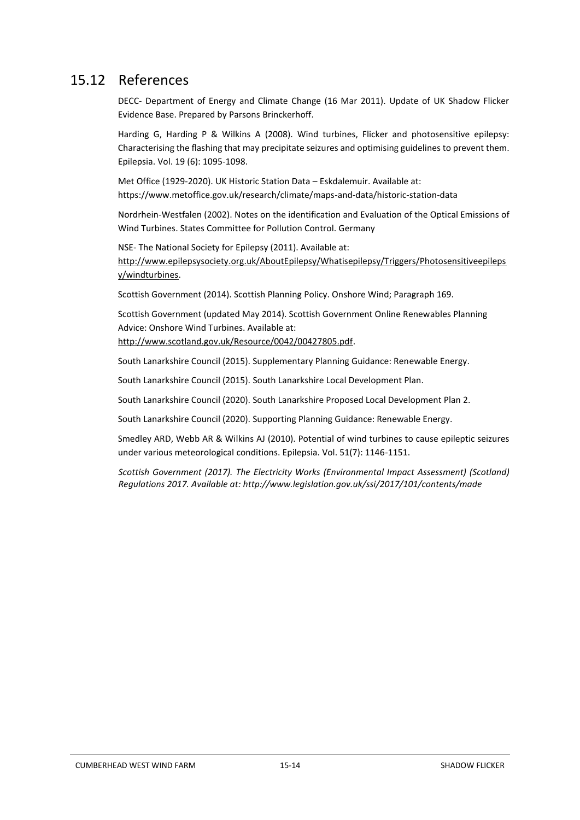## <span id="page-15-0"></span>15.12 References

DECC- Department of Energy and Climate Change (16 Mar 2011). Update of UK Shadow Flicker Evidence Base. Prepared by Parsons Brinckerhoff.

Harding G, Harding P & Wilkins A (2008). Wind turbines, Flicker and photosensitive epilepsy: Characterising the flashing that may precipitate seizures and optimising guidelines to prevent them. Epilepsia. Vol. 19 (6): 1095-1098.

Met Office (1929-2020). UK Historic Station Data – Eskdalemuir. Available at: https://www.metoffice.gov.uk/research/climate/maps-and-data/historic-station-data

Nordrhein-Westfalen (2002). Notes on the identification and Evaluation of the Optical Emissions of Wind Turbines. States Committee for Pollution Control. Germany

NSE- The National Society for Epilepsy (2011). Available at: [http://www.epilepsysociety.org.uk/AboutEpilepsy/Whatisepilepsy/Triggers/Photosensitiveepileps](http://www.epilepsysociety.org.uk/AboutEpilepsy/Whatisepilepsy/Triggers/Photosensitiveepilepsy/windturbines) [y/windturbines.](http://www.epilepsysociety.org.uk/AboutEpilepsy/Whatisepilepsy/Triggers/Photosensitiveepilepsy/windturbines)

Scottish Government (2014). Scottish Planning Policy. Onshore Wind; Paragraph 169.

Scottish Government (updated May 2014). Scottish Government Online Renewables Planning Advice: Onshore Wind Turbines. Available at:

[http://www.scotland.gov.uk/Resource/0042/00427805.pdf.](http://www.scotland.gov.uk/Resource/0042/00427805.pdf) 

South Lanarkshire Council (2015). Supplementary Planning Guidance: Renewable Energy.

South Lanarkshire Council (2015). South Lanarkshire Local Development Plan.

South Lanarkshire Council (2020). South Lanarkshire Proposed Local Development Plan 2.

South Lanarkshire Council (2020). Supporting Planning Guidance: Renewable Energy.

Smedley ARD, Webb AR & Wilkins AJ (2010). Potential of wind turbines to cause epileptic seizures under various meteorological conditions. Epilepsia. Vol. 51(7): 1146-1151.

*Scottish Government (2017). The Electricity Works (Environmental Impact Assessment) (Scotland) Regulations 2017. Available at: http://www.legislation.gov.uk/ssi/2017/101/contents/made*